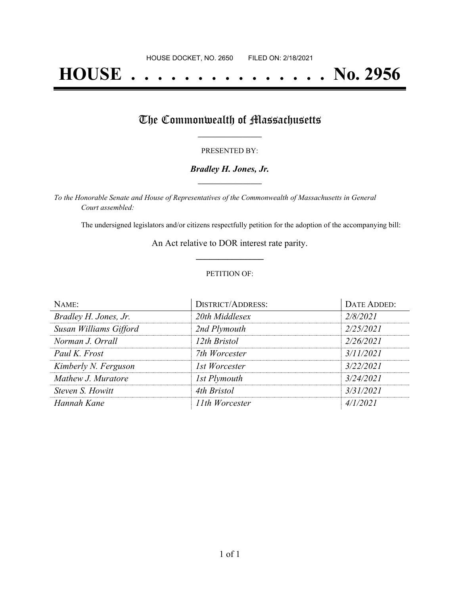# **HOUSE . . . . . . . . . . . . . . . No. 2956**

## The Commonwealth of Massachusetts

#### PRESENTED BY:

#### *Bradley H. Jones, Jr.* **\_\_\_\_\_\_\_\_\_\_\_\_\_\_\_\_\_**

*To the Honorable Senate and House of Representatives of the Commonwealth of Massachusetts in General Court assembled:*

The undersigned legislators and/or citizens respectfully petition for the adoption of the accompanying bill:

An Act relative to DOR interest rate parity. **\_\_\_\_\_\_\_\_\_\_\_\_\_\_\_**

#### PETITION OF:

| NAME:                  | <b>DISTRICT/ADDRESS:</b> | <b>DATE ADDED:</b> |
|------------------------|--------------------------|--------------------|
| Bradley H. Jones, Jr.  | 20th Middlesex           | 2/8/2021           |
| Susan Williams Gifford | 2nd Plymouth             | 2/25/2021          |
| Norman J. Orrall       | 12th Bristol             | 2/26/2021          |
| Paul K. Frost          | 7th Worcester            | 3/11/2021          |
| Kimberly N. Ferguson   | 1st Worcester            | 3/22/2021          |
| Mathew J. Muratore     | <b>Ist Plymouth</b>      | 3/24/2021          |
| Steven S. Howitt       | 4th Bristol              | 3/31/2021          |
| Hannah Kane            | 11th Worcester           | 4/1/2021           |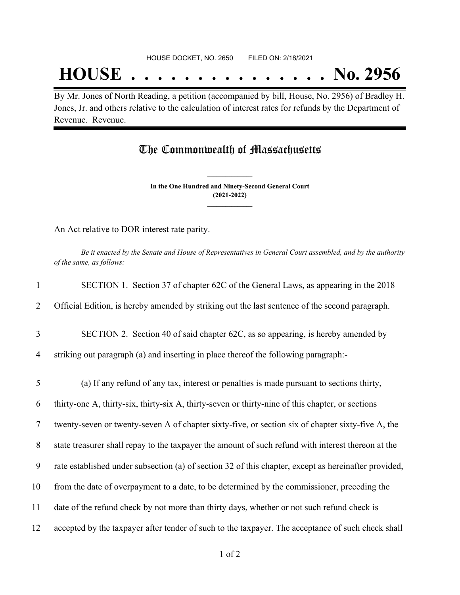## **HOUSE . . . . . . . . . . . . . . . No. 2956**

By Mr. Jones of North Reading, a petition (accompanied by bill, House, No. 2956) of Bradley H. Jones, Jr. and others relative to the calculation of interest rates for refunds by the Department of Revenue. Revenue.

### The Commonwealth of Massachusetts

**In the One Hundred and Ninety-Second General Court (2021-2022) \_\_\_\_\_\_\_\_\_\_\_\_\_\_\_**

**\_\_\_\_\_\_\_\_\_\_\_\_\_\_\_**

An Act relative to DOR interest rate parity.

Be it enacted by the Senate and House of Representatives in General Court assembled, and by the authority *of the same, as follows:*

| $\mathbf{1}$ | SECTION 1. Section 37 of chapter 62C of the General Laws, as appearing in the 2018                   |
|--------------|------------------------------------------------------------------------------------------------------|
| 2            | Official Edition, is hereby amended by striking out the last sentence of the second paragraph.       |
| 3            | SECTION 2. Section 40 of said chapter 62C, as so appearing, is hereby amended by                     |
| 4            | striking out paragraph (a) and inserting in place thereof the following paragraph:-                  |
| 5            | (a) If any refund of any tax, interest or penalties is made pursuant to sections thirty,             |
| 6            | thirty-one A, thirty-six, thirty-six A, thirty-seven or thirty-nine of this chapter, or sections     |
| $\tau$       | twenty-seven or twenty-seven A of chapter sixty-five, or section six of chapter sixty-five A, the    |
| 8            | state treasurer shall repay to the taxpayer the amount of such refund with interest thereon at the   |
| 9            | rate established under subsection (a) of section 32 of this chapter, except as hereinafter provided, |
| 10           | from the date of overpayment to a date, to be determined by the commissioner, preceding the          |
| 11           | date of the refund check by not more than thirty days, whether or not such refund check is           |
| 12           | accepted by the taxpayer after tender of such to the taxpayer. The acceptance of such check shall    |
|              |                                                                                                      |